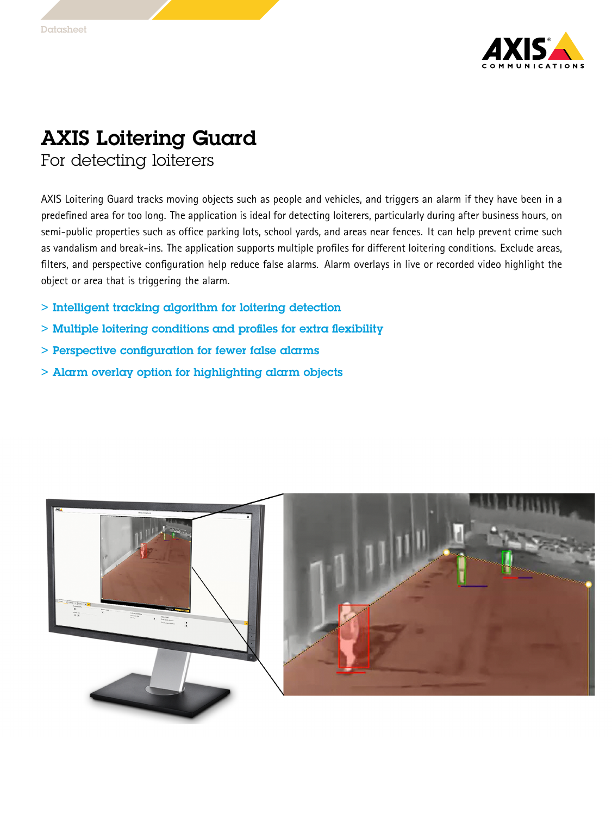

## AXIS Loitering Guard

For detecting loiterers

AXIS Loitering Guard tracks moving objects such as people and vehicles, and triggers an alarm if they have been in <sup>a</sup> predefined area for too long. The application is ideal for detecting loiterers, particularly during after business hours, on semi-public properties such as office parking lots, school yards, and areas near fences. It can help prevent crime such as vandalism and break-ins. The application supports multiple profiles for different loitering conditions. Exclude areas, filters, and perspective configuration help reduce false alarms. Alarm overlays in live or recorded video highlight the object or area that is triggering the alarm.

- > Intelligent tracking algorithm for loitering detection
- > Multiple loitering conditions and profiles for extra flexibility
- > Perspective configuration for fewer false alarms
- > Alarm overlay option for highlighting alarm objects